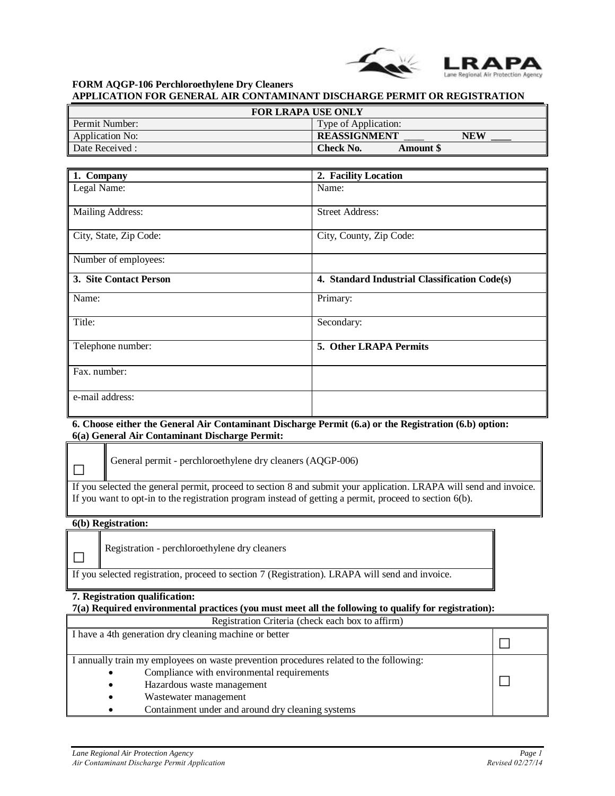

**FORM AQGP-106 Perchloroethylene Dry Cleaners APPLICATION FOR GENERAL AIR CONTAMINANT DISCHARGE PERMIT OR REGISTRATION** 

| <b>FOR LRAPA USE ONLY</b> |                              |  |  |
|---------------------------|------------------------------|--|--|
| Permit Number:            | Type of Application:         |  |  |
| Application No:           | <b>REASSIGNMENT</b><br>NEW   |  |  |
| Date Received:            | Check No.<br><b>Amount S</b> |  |  |

| 1. Company              | 2. Facility Location                          |
|-------------------------|-----------------------------------------------|
| Legal Name:             | Name:                                         |
|                         |                                               |
| <b>Mailing Address:</b> | <b>Street Address:</b>                        |
|                         |                                               |
| City, State, Zip Code:  | City, County, Zip Code:                       |
|                         |                                               |
| Number of employees:    |                                               |
| 3. Site Contact Person  | 4. Standard Industrial Classification Code(s) |
| Name:                   | Primary:                                      |
| Title:                  | Secondary:                                    |
| Telephone number:       | 5. Other LRAPA Permits                        |
|                         |                                               |
| Fax. number:            |                                               |
|                         |                                               |
| e-mail address:         |                                               |
|                         |                                               |

## **6. Choose either the General Air Contaminant Discharge Permit (6.a) or the Registration (6.b) option: 6(a) General Air Contaminant Discharge Permit:**

| General permit - perchloroethylene dry cleaners (AQGP-006)                                                         |
|--------------------------------------------------------------------------------------------------------------------|
| If you selected the general permit, proceed to section 8 and submit your application. LRAPA will send and invoice. |
| If you want to opt-in to the registration program instead of getting a permit, proceed to section $6(b)$ .         |

## **6(b) Registration:**

╖

Registration - perchloroethylene dry cleaners

If you selected registration, proceed to section 7 (Registration). LRAPA will send and invoice.

# **7. Registration qualification:**

# **7(a) Required environmental practices (you must meet all the following to qualify for registration):**

| Registration Criteria (check each box to affirm)                                                                                                                                                                                                           |  |  |
|------------------------------------------------------------------------------------------------------------------------------------------------------------------------------------------------------------------------------------------------------------|--|--|
| I have a 4th generation dry cleaning machine or better                                                                                                                                                                                                     |  |  |
| I annually train my employees on waste prevention procedures related to the following:<br>Compliance with environmental requirements<br>Hazardous waste management<br>٠<br>Wastewater management<br>٠<br>Containment under and around dry cleaning systems |  |  |